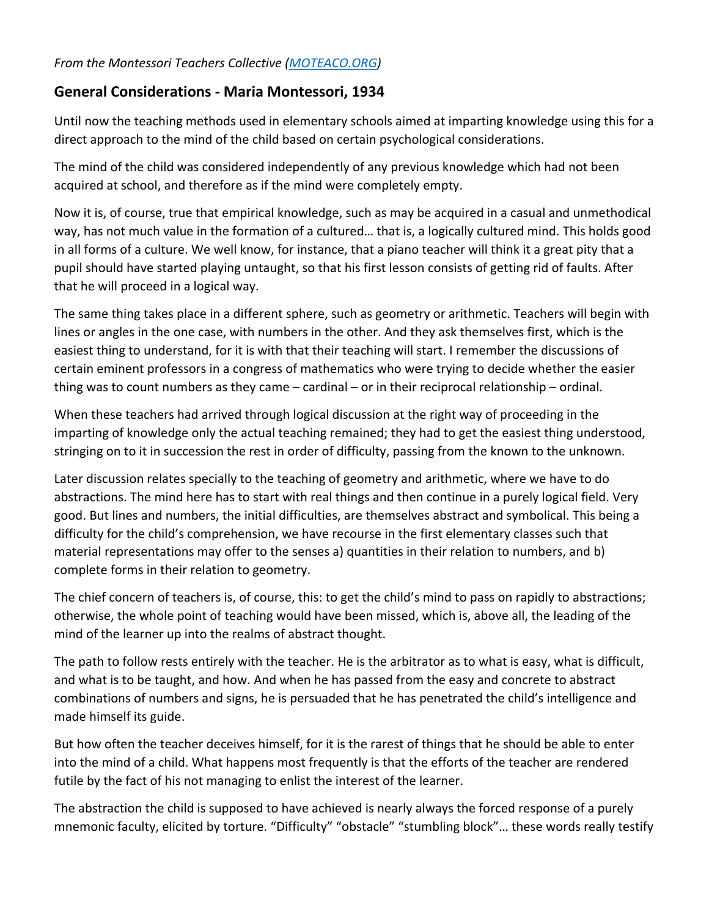## **General Considerations - Maria Montessori, 1934**

Until now the teaching methods used in elementary schools aimed at imparting knowledge using this for a direct approach to the mind of the child based on certain psychological considerations.

The mind of the child was considered independently of any previous knowledge which had not been acquired at school, and therefore as if the mind were completely empty.

Now it is, of course, true that empirical knowledge, such as may be acquired in a casual and unmethodical way, has not much value in the formation of a cultured… that is, a logically cultured mind. This holds good in all forms of a culture. We well know, for instance, that a piano teacher will think it a great pity that a pupil should have started playing untaught, so that his first lesson consists of getting rid of faults. After that he will proceed in a logical way.

The same thing takes place in a different sphere, such as geometry or arithmetic. Teachers will begin with lines or angles in the one case, with numbers in the other. And they ask themselves first, which is the easiest thing to understand, for it is with that their teaching will start. I remember the discussions of certain eminent professors in a congress of mathematics who were trying to decide whether the easier thing was to count numbers as they came – cardinal – or in their reciprocal relationship – ordinal.

When these teachers had arrived through logical discussion at the right way of proceeding in the imparting of knowledge only the actual teaching remained; they had to get the easiest thing understood, stringing on to it in succession the rest in order of difficulty, passing from the known to the unknown.

Later discussion relates specially to the teaching of geometry and arithmetic, where we have to do abstractions. The mind here has to start with real things and then continue in a purely logical field. Very good. But lines and numbers, the initial difficulties, are themselves abstract and symbolical. This being a difficulty for the child's comprehension, we have recourse in the first elementary classes such that material representations may offer to the senses a) quantities in their relation to numbers, and b) complete forms in their relation to geometry.

The chief concern of teachers is, of course, this: to get the child's mind to pass on rapidly to abstractions; otherwise, the whole point of teaching would have been missed, which is, above all, the leading of the mind of the learner up into the realms of abstract thought.

The path to follow rests entirely with the teacher. He is the arbitrator as to what is easy, what is difficult, and what is to be taught, and how. And when he has passed from the easy and concrete to abstract combinations of numbers and signs, he is persuaded that he has penetrated the child's intelligence and made himself its guide.

But how often the teacher deceives himself, for it is the rarest of things that he should be able to enter into the mind of a child. What happens most frequently is that the efforts of the teacher are rendered futile by the fact of his not managing to enlist the interest of the learner.

The abstraction the child is supposed to have achieved is nearly always the forced response of a purely mnemonic faculty, elicited by torture. "Difficulty" "obstacle" "stumbling block"… these words really testify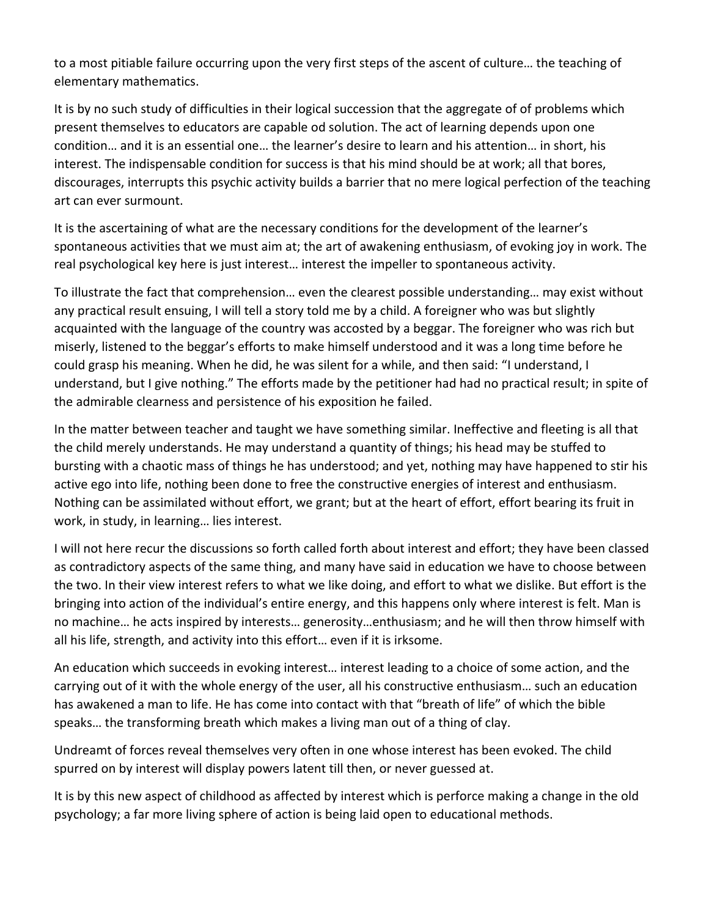to a most pitiable failure occurring upon the very first steps of the ascent of culture… the teaching of elementary mathematics.

It is by no such study of difficulties in their logical succession that the aggregate of of problems which present themselves to educators are capable od solution. The act of learning depends upon one condition… and it is an essential one… the learner's desire to learn and his attention… in short, his interest. The indispensable condition for success is that his mind should be at work; all that bores, discourages, interrupts this psychic activity builds a barrier that no mere logical perfection of the teaching art can ever surmount.

It is the ascertaining of what are the necessary conditions for the development of the learner's spontaneous activities that we must aim at; the art of awakening enthusiasm, of evoking joy in work. The real psychological key here is just interest… interest the impeller to spontaneous activity.

To illustrate the fact that comprehension… even the clearest possible understanding… may exist without any practical result ensuing, I will tell a story told me by a child. A foreigner who was but slightly acquainted with the language of the country was accosted by a beggar. The foreigner who was rich but miserly, listened to the beggar's efforts to make himself understood and it was a long time before he could grasp his meaning. When he did, he was silent for a while, and then said: "I understand, I understand, but I give nothing." The efforts made by the petitioner had had no practical result; in spite of the admirable clearness and persistence of his exposition he failed.

In the matter between teacher and taught we have something similar. Ineffective and fleeting is all that the child merely understands. He may understand a quantity of things; his head may be stuffed to bursting with a chaotic mass of things he has understood; and yet, nothing may have happened to stir his active ego into life, nothing been done to free the constructive energies of interest and enthusiasm. Nothing can be assimilated without effort, we grant; but at the heart of effort, effort bearing its fruit in work, in study, in learning… lies interest.

I will not here recur the discussions so forth called forth about interest and effort; they have been classed as contradictory aspects of the same thing, and many have said in education we have to choose between the two. In their view interest refers to what we like doing, and effort to what we dislike. But effort is the bringing into action of the individual's entire energy, and this happens only where interest is felt. Man is no machine… he acts inspired by interests… generosity…enthusiasm; and he will then throw himself with all his life, strength, and activity into this effort… even if it is irksome.

An education which succeeds in evoking interest… interest leading to a choice of some action, and the carrying out of it with the whole energy of the user, all his constructive enthusiasm… such an education has awakened a man to life. He has come into contact with that "breath of life" of which the bible speaks… the transforming breath which makes a living man out of a thing of clay.

Undreamt of forces reveal themselves very often in one whose interest has been evoked. The child spurred on by interest will display powers latent till then, or never guessed at.

It is by this new aspect of childhood as affected by interest which is perforce making a change in the old psychology; a far more living sphere of action is being laid open to educational methods.